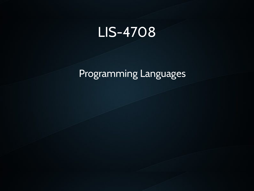#### LIS-4708

#### Programming Languages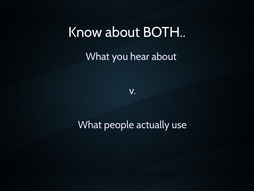#### Know about BOTH..

What you hear about

v.

#### What people actually use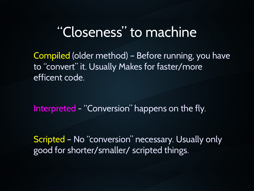## "Closeness" to machine

Compiled (older method) – Before running, you have to "convert" it. Usually Makes for faster/more efficent code.

Interpreted - "Conversion" happens on the fly.

Scripted – No "conversion" necessary. Usually only good for shorter/smaller/ scripted things.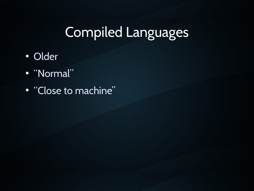## Compiled Languages

- Older
- "Normal"
- "Close to machine"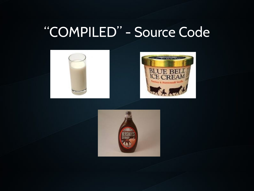## "COMPILED" - Source Code



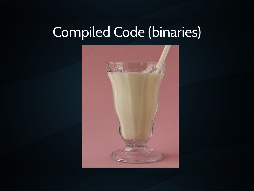# Compiled Code (binaries)

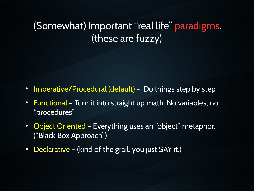#### (Somewhat) Important "real life" paradigms. (these are fuzzy)

- Imperative/Procedural (default) Do things step by step
- Functional Turn it into straight up math. No variables, no "procedures"
- Object Oriented Everything uses an "object" metaphor. ("Black Box Approach")
- Declarative (kind of the grail, you just SAY it.)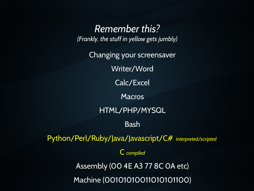*Remember this? (Frankly, the stuff in yellow gets jumbly)*

Changing your screensaver Writer/Word Calc/Excel **Macros** HTML/PHP/MYSQL Bash Python/Perl/Ruby/Java/Javascript/C# *interpreted/scripted*  C *compiled* Assembly (00 4E A3 77 8C 0A etc)

Machine (00101010011010101100)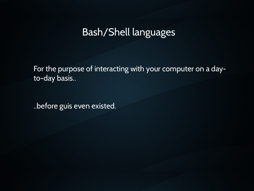#### Bash/Shell languages

For the purpose of interacting with your computer on a dayto-day basis..

..before guis even existed.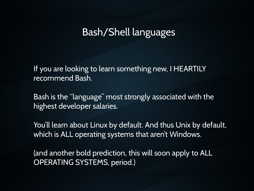#### Bash/Shell languages

If you are looking to learn something new, I HEARTILY recommend Bash.

Bash is the "language" most strongly associated with the highest developer salaries.

You'll learn about Linux by default. And thus Unix by default, which is ALL operating systems that aren't Windows.

(and another bold prediction, this will soon apply to ALL OPERATING SYSTEMS, period.)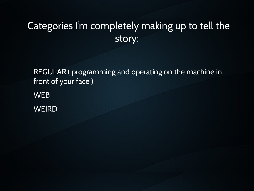#### Categories I'm completely making up to tell the story:

REGULAR ( programming and operating on the machine in front of your face )

WEB **WEIRD**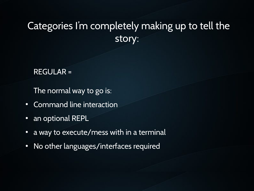#### Categories I'm completely making up to tell the story:

#### REGULAR =

The normal way to go is:

- Command line interaction
- an optional REPL
- a way to execute/mess with in a terminal
- No other languages/interfaces required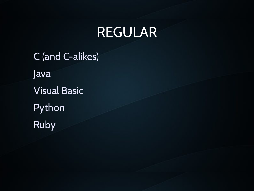## REGULAR

C (and C-alikes) Java Visual Basic **Python** Ruby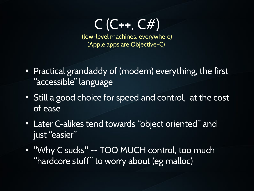$C$  (C++, C#)

(low-level machines, everywhere) (Apple apps are Objective-C)

- Practical grandaddy of (modern) everything, the first "accessible" language
- Still a good choice for speed and control, at the cost of ease
- Later C-alikes tend towards "object oriented" and just "easier"
- "Why C sucks" -- TOO MUCH control, too much "hardcore stuff" to worry about (eg malloc)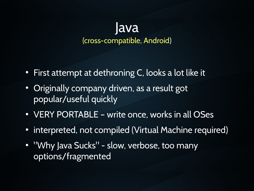#### lava (cross-compatible, Android)

- First attempt at dethroning C, looks a lot like it
- Originally company driven, as a result got popular/useful quickly
- VERY PORTABLE write once, works in all OSes
- interpreted, not compiled (Virtual Machine required)
- "Why Java Sucks" slow, verbose, too many options/fragmented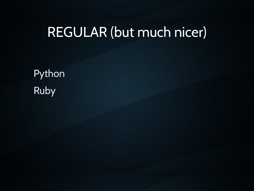## REGULAR (but much nicer)

Python Ruby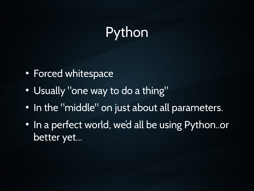# Python

- Forced whitespace
- Usually "one way to do a thing"
- In the "middle" on just about all parameters.
- In a perfect world, we'd all be using Python..or better yet...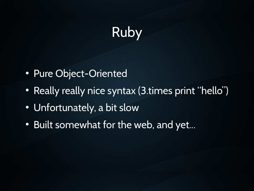# Ruby

- Pure Object-Oriented
- Really really nice syntax (3.times print "hello")
- Unfortunately, a bit slow
- Built somewhat for the web, and yet...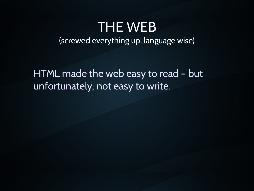#### THE WEB

(screwed everything up, language wise)

HTML made the web easy to read – but unfortunately, not easy to write.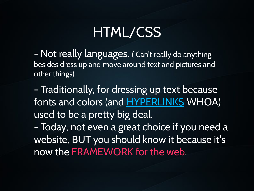## HTML/CSS

- Not really languages. ( Can't really do anything besides dress up and move around text and pictures and other things)

- Traditionally, for dressing up text because fonts and colors (and HYPERLINKS WHOA) used to be a pretty big deal.

- Today, not even a great choice if you need a website, BUT you should know it because it's now the FRAMEWORK for the web.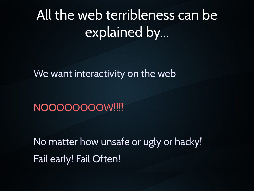# All the web terribleness can be explained by...

We want interactivity on the web

NOOOOOOOOW!!!!

No matter how unsafe or ugly or hacky! Fail early! Fail Often!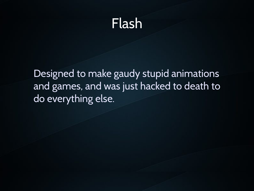## Flash

Designed to make gaudy stupid animations and games, and was just hacked to death to do everything else.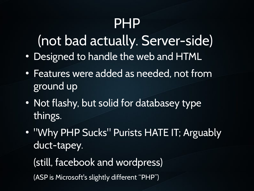## PHP

(not bad actually. Server-side)

- Designed to handle the web and HTML
- Features were added as needed, not from ground up
- Not flashy, but solid for databasey type things.
- "Why PHP Sucks" Purists HATE IT; Arguably duct-tapey.

(still, facebook and wordpress)

(ASP is Microsoft's slightly different "PHP")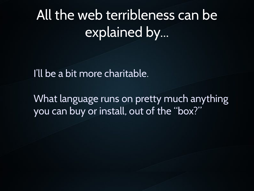# All the web terribleness can be explained by...

I'll be a bit more charitable.

What language runs on pretty much anything you can buy or install, out of the "box?"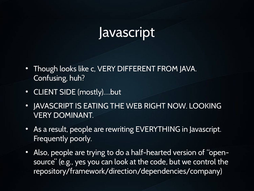#### Javascript

- Though looks like c, VERY DIFFERENT FROM JAVA. Confusing, huh?
- CLIENT SIDE (mostly)....but
- . JAVASCRIPT IS EATING THE WEB RIGHT NOW. LOOKING VERY DOMINANT.
- As a result, people are rewriting EVERYTHING in Javascript. Frequently poorly.
- Also, people are trying to do a half-hearted version of "opensource" (e.g., yes you can look at the code, but we control the repository/framework/direction/dependencies/company)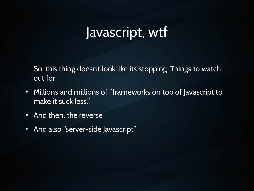## Javascript, wtf

So, this thing doesn't look like its stopping. Things to watch out for:

- Millions and millions of "frameworks on top of Javascript to make it suck less."
- And then, the reverse
- And also "server-side Javascript"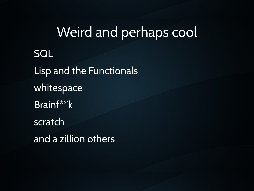# Weird and perhaps cool **SQL** Lisp and the Functionals whitespace Brainf\*\*k scratch and a zillion others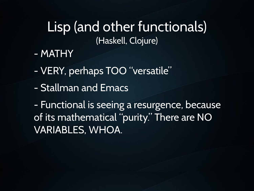#### Lisp (and other functionals) (Haskell, Clojure)

- MATHY
- VERY, perhaps TOO "versatile"
- Stallman and Emacs

- Functional is seeing a resurgence, because of its mathematical "purity." There are NO VARIABLES, WHOA.